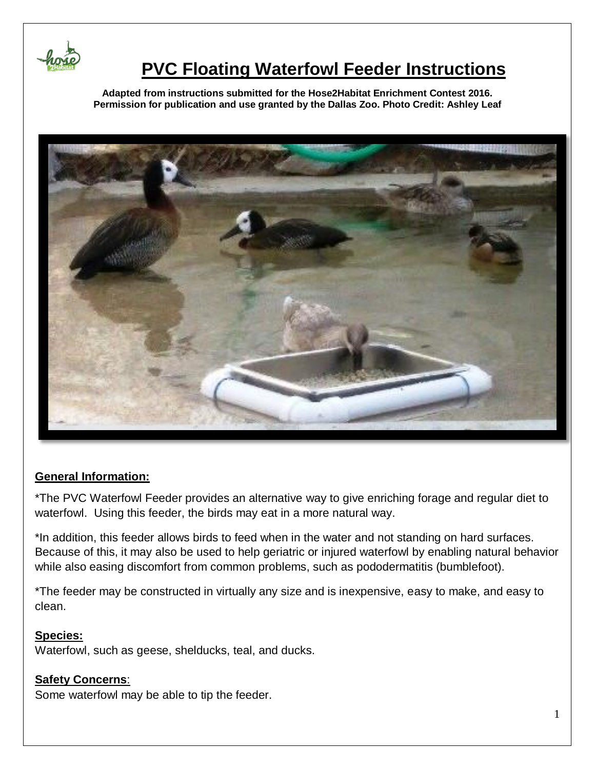

# **PVC Floating Waterfowl Feeder Instructions**

**Adapted from instructions submitted for the Hose2Habitat Enrichment Contest 2016. Permission for publication and use granted by the Dallas Zoo. Photo Credit: Ashley Leaf**



### **General Information:**

\*The PVC Waterfowl Feeder provides an alternative way to give enriching forage and regular diet to waterfowl. Using this feeder, the birds may eat in a more natural way.

\*In addition, this feeder allows birds to feed when in the water and not standing on hard surfaces. Because of this, it may also be used to help geriatric or injured waterfowl by enabling natural behavior while also easing discomfort from common problems, such as pododermatitis (bumblefoot).

\*The feeder may be constructed in virtually any size and is inexpensive, easy to make, and easy to clean.

#### **Species:**

Waterfowl, such as geese, shelducks, teal, and ducks.

### **Safety Concerns**:

Some waterfowl may be able to tip the feeder.